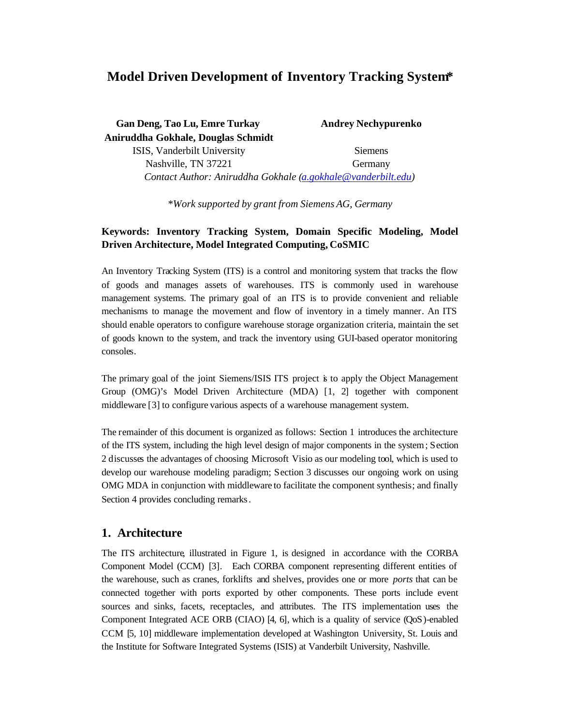# **Model Driven Development of Inventory Tracking System\***

| <b>Gan Deng, Tao Lu, Emre Turkay</b>                         | <b>Andrey Nechypurenko</b> |
|--------------------------------------------------------------|----------------------------|
| Aniruddha Gokhale, Douglas Schmidt                           |                            |
| ISIS, Vanderbilt University                                  | <b>Siemens</b>             |
| Nashville, TN 37221                                          | Germany                    |
| Contact Author: Aniruddha Gokhale (a.gokhale@vanderbilt.edu) |                            |

*\*Work supported by grant from Siemens AG, Germany*

# **Keywords: Inventory Tracking System, Domain Specific Modeling, Model Driven Architecture, Model Integrated Computing, CoSMIC**

An Inventory Tracking System (ITS) is a control and monitoring system that tracks the flow of goods and manages assets of warehouses. ITS is commonly used in warehouse management systems. The primary goal of an ITS is to provide convenient and reliable mechanisms to manage the movement and flow of inventory in a timely manner. An ITS should enable operators to configure warehouse storage organization criteria, maintain the set of goods known to the system, and track the inventory using GUI-based operator monitoring consoles.

The primary goal of the joint Siemens/ISIS ITS project is to apply the Object Management Group (OMG)'s Model Driven Architecture (MDA) [1, 2] together with component middleware [3] to configure various aspects of a warehouse management system.

The remainder of this document is organized as follows: Section 1 introduces the architecture of the ITS system, including the high level design of major components in the system; Section 2 discusses the advantages of choosing Microsoft Visio as our modeling tool, which is used to develop our warehouse modeling paradigm; Section 3 discusses our ongoing work on using OMG MDA in conjunction with middleware to facilitate the component synthesis; and finally Section 4 provides concluding remarks.

### **1. Architecture**

The ITS architecture, illustrated in Figure 1, is designed in accordance with the CORBA Component Model (CCM) [3]. Each CORBA component representing different entities of the warehouse, such as cranes, forklifts and shelves, provides one or more *ports* that can be connected together with ports exported by other components. These ports include event sources and sinks, facets, receptacles, and attributes. The ITS implementation uses the Component Integrated ACE ORB (CIAO) [4, 6], which is a quality of service (QoS)-enabled CCM [5, 10] middleware implementation developed at Washington University, St. Louis and the Institute for Software Integrated Systems (ISIS) at Vanderbilt University, Nashville.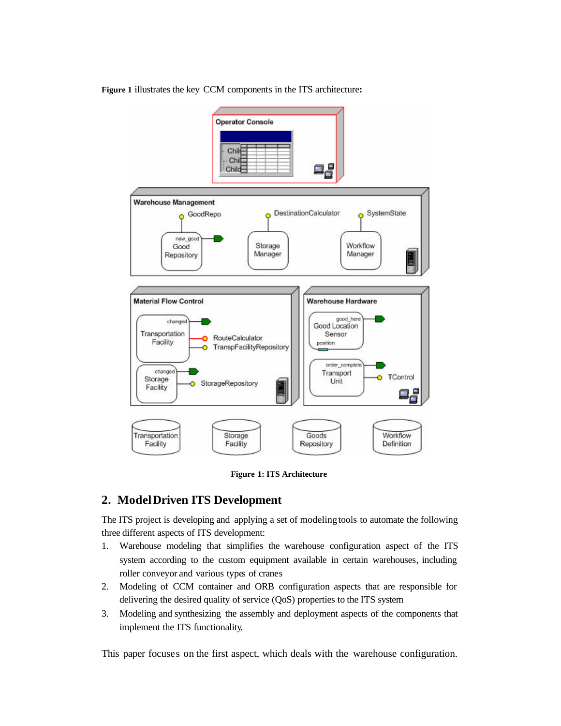**Figure 1** illustrates the key CCM components in the ITS architecture**:**



**Figure 1: ITS Architecture**

### **2. Model Driven ITS Development**

The ITS project is developing and applying a set of modeling tools to automate the following three different aspects of ITS development:

- 1. Warehouse modeling that simplifies the warehouse configuration aspect of the ITS system according to the custom equipment available in certain warehouses, including roller conveyor and various types of cranes
- 2. Modeling of CCM container and ORB configuration aspects that are responsible for delivering the desired quality of service (QoS) properties to the ITS system
- 3. Modeling and synthesizing the assembly and deployment aspects of the components that implement the ITS functionality.

This paper focuses on the first aspect, which deals with the warehouse configuration.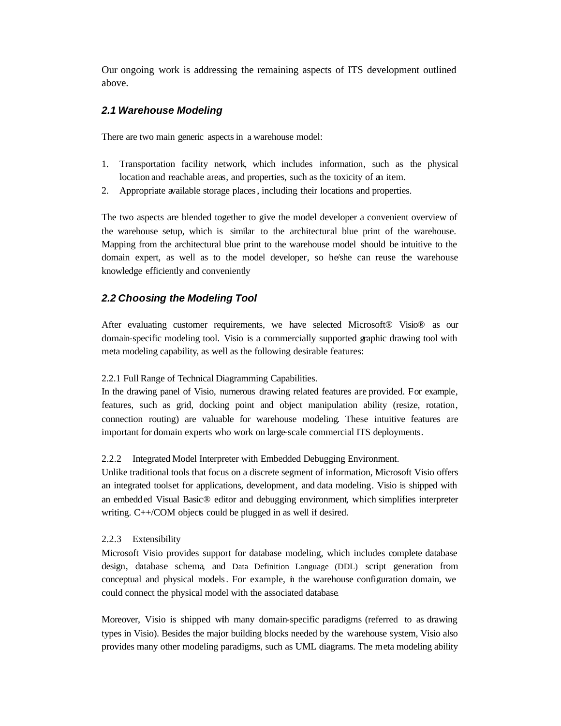Our ongoing work is addressing the remaining aspects of ITS development outlined above.

### *2.1 Warehouse Modeling*

There are two main generic aspects in a warehouse model:

- 1. Transportation facility network, which includes information, such as the physical location and reachable areas, and properties, such as the toxicity of an item.
- 2. Appropriate available storage places, including their locations and properties.

The two aspects are blended together to give the model developer a convenient overview of the warehouse setup, which is similar to the architectural blue print of the warehouse. Mapping from the architectural blue print to the warehouse model should be intuitive to the domain expert, as well as to the model developer, so he/she can reuse the warehouse knowledge efficiently and conveniently

### *2.2 Choosing the Modeling Tool*

After evaluating customer requirements, we have selected Microsoft® Visio® as our domain-specific modeling tool. Visio is a commercially supported graphic drawing tool with meta modeling capability, as well as the following desirable features:

#### 2.2.1 Full Range of Technical Diagramming Capabilities.

In the drawing panel of Visio, numerous drawing related features are provided. For example, features, such as grid, docking point and object manipulation ability (resize, rotation, connection routing) are valuable for warehouse modeling. These intuitive features are important for domain experts who work on large-scale commercial ITS deployments.

#### 2.2.2 Integrated Model Interpreter with Embedded Debugging Environment.

Unlike traditional tools that focus on a discrete segment of information, Microsoft Visio offers an integrated toolset for applications, development, and data modeling. Visio is shipped with an embedded Visual Basic® editor and debugging environment, which simplifies interpreter writing. C++/COM objects could be plugged in as well if desired.

#### 2.2.3 Extensibility

Microsoft Visio provides support for database modeling, which includes complete database design, database schema, and Data Definition Language (DDL) script generation from conceptual and physical models. For example, in the warehouse configuration domain, we could connect the physical model with the associated database.

Moreover, Visio is shipped with many domain-specific paradigms (referred to as drawing types in Visio). Besides the major building blocks needed by the warehouse system, Visio also provides many other modeling paradigms, such as UML diagrams. The meta modeling ability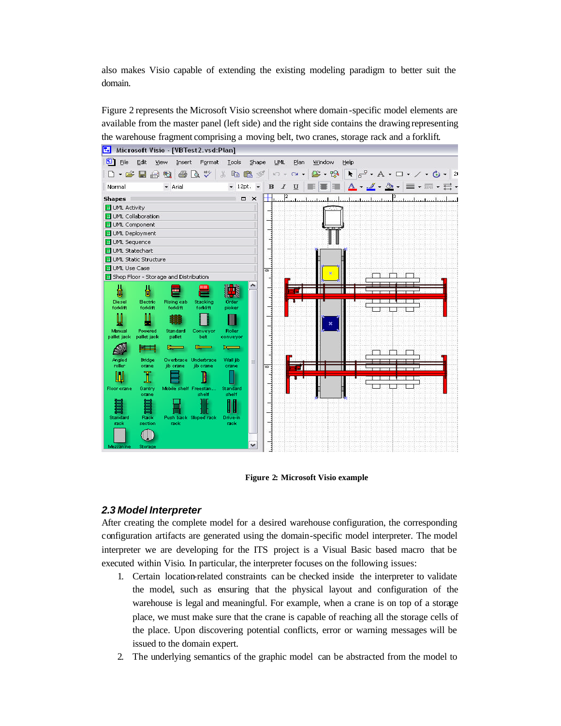also makes Visio capable of extending the existing modeling paradigm to better suit the domain.

Figure 2 represents the Microsoft Visio screenshot where domain -specific model elements are available from the master panel (left side) and the right side contains the drawing representing the warehouse fragment comprising a moving belt, two cranes, storage rack and a forklift.



**Figure 2: Microsoft Visio example**

### *2.3 Model Interpreter*

After creating the complete model for a desired warehouse configuration, the corresponding configuration artifacts are generated using the domain-specific model interpreter. The model interpreter we are developing for the ITS project is a Visual Basic based macro that be executed within Visio. In particular, the interpreter focuses on the following issues:

- 1. Certain location-related constraints can be checked inside the interpreter to validate the model, such as ensuring that the physical layout and configuration of the warehouse is legal and meaningful. For example, when a crane is on top of a storage place, we must make sure that the crane is capable of reaching all the storage cells of the place. Upon discovering potential conflicts, error or warning messages will be issued to the domain expert.
- 2. The underlying semantics of the graphic model can be abstracted from the model to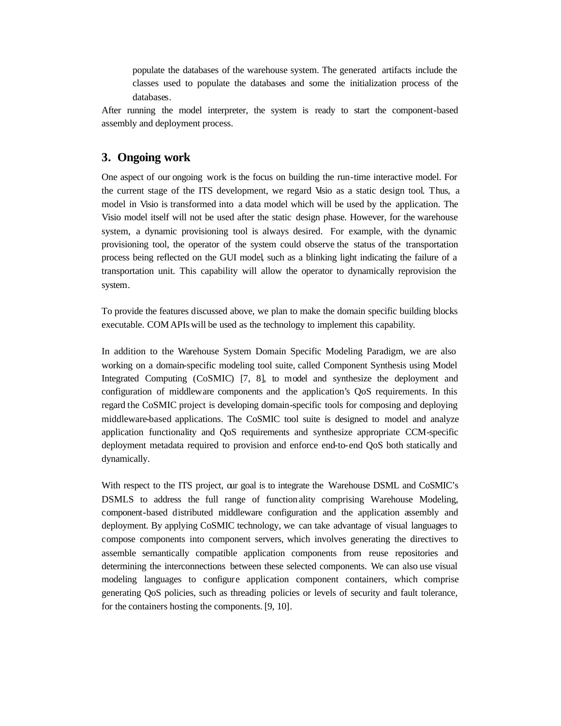populate the databases of the warehouse system. The generated artifacts include the classes used to populate the databases and some the initialization process of the databases.

After running the model interpreter, the system is ready to start the component-based assembly and deployment process.

# **3. Ongoing work**

One aspect of our ongoing work is the focus on building the run-time interactive model. For the current stage of the ITS development, we regard Visio as a static design tool. Thus, a model in Visio is transformed into a data model which will be used by the application. The Visio model itself will not be used after the static design phase. However, for the warehouse system, a dynamic provisioning tool is always desired. For example, with the dynamic provisioning tool, the operator of the system could observe the status of the transportation process being reflected on the GUI model, such as a blinking light indicating the failure of a transportation unit. This capability will allow the operator to dynamically reprovision the system.

To provide the features discussed above, we plan to make the domain specific building blocks executable. COM APIs will be used as the technology to implement this capability.

In addition to the Warehouse System Domain Specific Modeling Paradigm, we are also working on a domain-specific modeling tool suite, called Component Synthesis using Model Integrated Computing (CoSMIC) [7, 8], to model and synthesize the deployment and configuration of middleware components and the application's QoS requirements. In this regard the CoSMIC project is developing domain-specific tools for composing and deploying middleware-based applications. The CoSMIC tool suite is designed to model and analyze application functionality and QoS requirements and synthesize appropriate CCM-specific deployment metadata required to provision and enforce end-to-end QoS both statically and dynamically.

With respect to the ITS project,  $\alpha$  and  $\alpha$  is to integrate the Warehouse DSML and CoSMIC's DSMLS to address the full range of function ality comprising Warehouse Modeling, component-based distributed middleware configuration and the application assembly and deployment. By applying CoSMIC technology, we can take advantage of visual languages to compose components into component servers, which involves generating the directives to assemble semantically compatible application components from reuse repositories and determining the interconnections between these selected components. We can also use visual modeling languages to configure application component containers, which comprise generating QoS policies, such as threading policies or levels of security and fault tolerance, for the containers hosting the components. [9, 10].